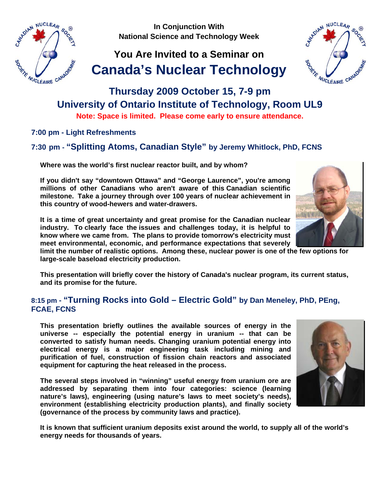**In Conjunction With National Science and Technology Week**

# **You Are Invited to a Seminar on Canada's Nuclear Technology**



**Note: Space is limited. Please come early to ensure attendance.** 

**7:00 pm - Light Refreshments** 

**7:30 pm - "Splitting Atoms, Canadian Style" by Jeremy Whitlock, PhD, FCNS** 

**Where was the world's first nuclear reactor built, and by whom?** 

**If you didn't say "downtown Ottawa" and "George Laurence", you're among millions of other Canadians who aren't aware of this Canadian scientific milestone. Take a journey through over 100 years of nuclear achievement in this country of wood-hewers and water-drawers.** 

**It is a time of great uncertainty and great promise for the Canadian nuclear industry. To clearly face the issues and challenges today, it is helpful to know where we came from. The plans to provide tomorrow's electricity must meet environmental, economic, and performance expectations that severely** 

**limit the number of realistic options. Among these, nuclear power is one of the few options for large-scale baseload electricity production.** 

**This presentation will briefly cover the history of Canada's nuclear program, its current status, and its promise for the future.** 

### **8:15 pm - "Turning Rocks into Gold – Electric Gold" by Dan Meneley, PhD, PEng, FCAE, FCNS**

**This presentation briefly outlines the available sources of energy in the universe -- especially the potential energy in uranium -- that can be converted to satisfy human needs. Changing uranium potential energy into electrical energy is a major engineering task including mining and purification of fuel, construction of fission chain reactors and associated equipment for capturing the heat released in the process.** 

**The several steps involved in "winning" useful energy from uranium ore are addressed by separating them into four categories: science (learning nature's laws), engineering (using nature's laws to meet society's needs), environment (establishing electricity production plants), and finally society (governance of the process by community laws and practice).** 

**It is known that sufficient uranium deposits exist around the world, to supply all of the world's energy needs for thousands of years.** 







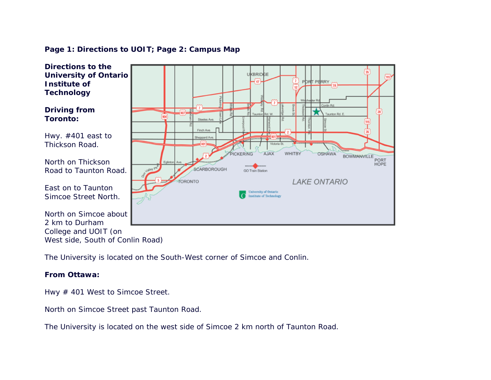#### **Directions to the University of Ontario UKBRIDGE PDRT PERRY Institute of** 47 **Technology**  Conlin Rd **Driving from**  @一 (28) Taunton Rd. E  $\overline{400}$ **Toronto:** Steeles Ave Finch Ave. Hwy. #401 east to  $7 - 12$ Phoppard Ave Thickson Road. PICKERING AJAX WHITBY **OSHAWA BOWMANVILLE** PORT<br>HOPE North on Thickson SCARBOROUGH Road to Taunton Road. **GO Train Station LAKE ONTARIO TORONTO** East on to Taunton University of Ontario Simcoe Street North. Institute of Technology North on Simcoe about 2 km to Durham College and UOIT (on West side, South of Conlin Road)

**Page 1: Directions to UOIT; Page 2: Campus Map**

The University is located on the South-West corner of Simcoe and Conlin.

### **From Ottawa:**

Hwy # 401 West to Simcoe Street.

North on Simcoe Street past Taunton Road.

The University is located on the west side of Simcoe 2 km north of Taunton Road.